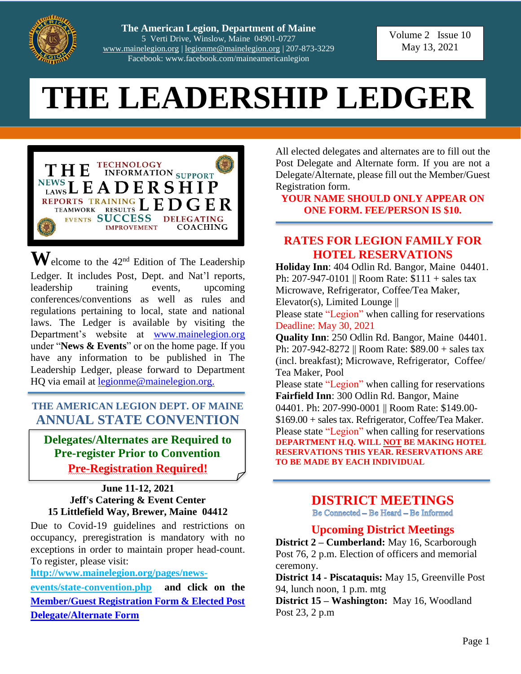

**The American Legion, Department of Maine**  5 Verti Drive, Winslow, Maine 04901-0727 [www.mainelegion.org](http://www.mainelegion.org/) [| legionme@mainelegion.org](mailto:legionme@mainelegion.org) | 207-873-3229 Facebook: www.facebook.com/maineamericanlegion

Volume 2 Issue 10 May 13, 2021

# **THE LEADERSHIP LEDGER**



 $\mathbf{W}$ elcome to the 42<sup>nd</sup> Edition of The Leadership Ledger. It includes Post, Dept. and Nat'l reports, leadership training events, upcoming conferences/conventions as well as rules and regulations pertaining to local, state and national laws. The Ledger is available by visiting the Department's website at [www.mainelegion.org](http://www.mainelegion.org/) under "**News & Events**" or on the home page. If you have any information to be published in The Leadership Ledger, please forward to Department HQ via email at [legionme@mainelegion.org.](mailto:legionme@mainelegion.org)

#### **THE AMERICAN LEGION DEPT. OF MAINE ANNUAL STATE CONVENTION**

**Delegates/Alternates are Required to Pre-register Prior to Convention Pre-Registration Required!**

#### **June 11-12, 2021 Jeff's Catering & Event Center 15 Littlefield Way, Brewer, Maine 04412**

Due to Covid-19 guidelines and restrictions on occupancy, preregistration is mandatory with no exceptions in order to maintain proper head-count. To register, please visit:

**[http://www.mainelegion.org/pages/news-](http://www.mainelegion.org/pages/news-events/state-convention.php)**

**[events/state-convention.php](http://www.mainelegion.org/pages/news-events/state-convention.php) and click on the [Member/Guest Registration Form & Elected Post](http://www.mainelegion.org/media/Forms/STATECONVENTION_REGISTRATION_FORMS2021_-_FILLABLE3.pdf)  [Delegate/Alternate Form](http://www.mainelegion.org/media/Forms/STATECONVENTION_REGISTRATION_FORMS2021_-_FILLABLE3.pdf)**

All elected delegates and alternates are to fill out the Post Delegate and Alternate form. If you are not a Delegate/Alternate, please fill out the Member/Guest Registration form.

**YOUR NAME SHOULD ONLY APPEAR ON ONE FORM. FEE/PERSON IS \$10.**

#### **RATES FOR LEGION FAMILY FOR HOTEL RESERVATIONS**

**Holiday Inn**: 404 Odlin Rd. Bangor, Maine 04401. Ph: 207-947-0101 || Room Rate: \$111 + sales tax Microwave, Refrigerator, Coffee/Tea Maker, Elevator(s), Limited Lounge ||

Please state "Legion" when calling for reservations Deadline: May 30, 2021

**Quality Inn**: 250 Odlin Rd. Bangor, Maine 04401. Ph: 207-942-8272 || Room Rate: \$89.00 + sales tax (incl. breakfast); Microwave, Refrigerator, Coffee/ Tea Maker, Pool

Please state "Legion" when calling for reservations **Fairfield Inn**: 300 Odlin Rd. Bangor, Maine 04401. Ph: 207-990-0001 || Room Rate: \$149.00-\$169.00 + sales tax. Refrigerator, Coffee/Tea Maker. Please state "Legion" when calling for reservations **DEPARTMENT H.Q. WILL NOT BE MAKING HOTEL RESERVATIONS THIS YEAR. RESERVATIONS ARE TO BE MADE BY EACH INDIVIDUAL**

### **DISTRICT MEETINGS**

Be Connected - Be Heard - Be Informed

#### **Upcoming District Meetings**

**District 2 – Cumberland:** May 16, Scarborough Post 76, 2 p.m. Election of officers and memorial ceremony.

**District 14 - Piscataquis:** May 15, Greenville Post 94, lunch noon, 1 p.m. mtg

**District 15 – Washington:** May 16, Woodland Post 23, 2 p.m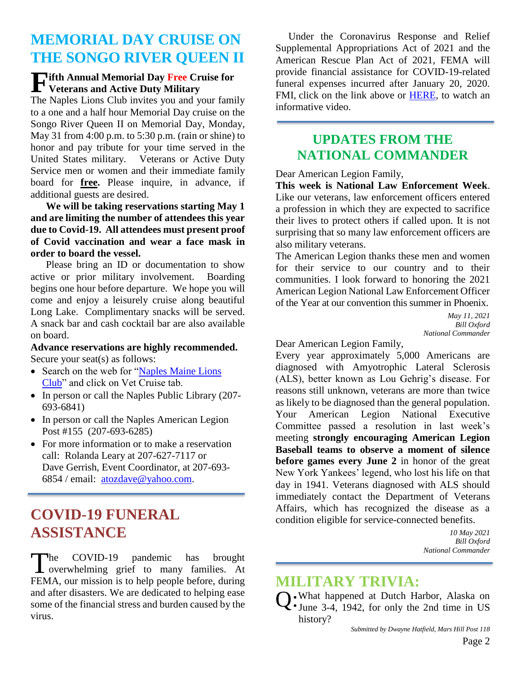# **MEMORIAL DAY CRUISE ON THE SONGO RIVER QUEEN II**

#### **ifth Annual Memorial Day Free Cruise for**<br> **F** Veterans and Active Duty Military **Veterans and Active Duty Military**

The Naples Lions Club invites you and your family to a one and a half hour Memorial Day cruise on the Songo River Queen II on Memorial Day, Monday, May 31 from 4:00 p.m. to 5:30 p.m. (rain or shine) to honor and pay tribute for your time served in the United States military. Veterans or Active Duty Service men or women and their immediate family board for **free.** Please inquire, in advance, if additional guests are desired.

**We will be taking reservations starting May 1 and are limiting the number of attendees this year due to Covid-19. All attendees must present proof of Covid vaccination and wear a face mask in order to board the vessel.** 

Please bring an ID or documentation to show active or prior military involvement. Boarding begins one hour before departure. We hope you will come and enjoy a leisurely cruise along beautiful Long Lake. Complimentary snacks will be served. A snack bar and cash cocktail bar are also available on board.

**Advance reservations are highly recommended.** Secure your seat(s) as follows:

- Search on the web for ["Naples Maine Lions](https://e-clubhouse.org/sites/naplesme/) [Club"](https://e-clubhouse.org/sites/naplesme/) and click on Vet Cruise tab.
- In person or call the Naples Public Library (207-693-6841)
- In person or call the Naples American Legion Post #155 (207-693-6285)
- For more information or to make a reservation call: Rolanda Leary at 207-627-7117 or Dave Gerrish, Event Coordinator, at 207-693- 6854 / email: [atozdave@yahoo.com.](mailto:atozdave@yahoo.com)

# **[COVID-19 FUNERAL](https://www.fema.gov/disasters/coronavirus/economic/funeral-assistance#eligible)  [ASSISTANCE](https://www.fema.gov/disasters/coronavirus/economic/funeral-assistance#eligible)**

he COVID-19 pandemic has brought The COVID-19 pandemic has brought<br>overwhelming grief to many families. At FEMA, our mission is to help people before, during and after disasters. We are dedicated to helping ease some of the financial stress and burden caused by the virus.

 Under the Coronavirus Response and Relief Supplemental Appropriations Act of 2021 and the American Rescue Plan Act of 2021, FEMA will provide financial assistance for COVID-19-related funeral expenses incurred after January 20, 2020. FMI, click on the link above or [HERE,](https://outreach.senate.gov/iqextranet/iqClickTrk.aspx?&cid=quorum_king-iq&crop=14544.8437182.6253279.7967273&report_id=&redirect=https%3a%2f%2fyoutu.be%2fDgvN_9m58Z0&redir_log=86470407452182) to watch an informative video.

#### **UPDATES FROM THE NATIONAL COMMANDER**

Dear American Legion Family,

**This week is National Law Enforcement Week**. Like our veterans, law enforcement officers entered a profession in which they are expected to sacrifice their lives to protect others if called upon. It is not surprising that so many law enforcement officers are also military veterans.

The American Legion thanks these men and women for their service to our country and to their communities. I look forward to honoring the 2021 American Legion National Law Enforcement Officer of the Year at our convention this summer in Phoenix.

> *May 11, 2021 Bill Oxford National Commander*

Dear American Legion Family,

Every year approximately 5,000 Americans are diagnosed with Amyotrophic Lateral Sclerosis (ALS), better known as Lou Gehrig's disease. For reasons still unknown, veterans are more than twice as likely to be diagnosed than the general population. Your American Legion National Executive Committee passed a resolution in last week's meeting **strongly encouraging American Legion Baseball teams to observe a moment of silence before games every June 2** in honor of the great New York Yankees' legend, who lost his life on that day in 1941. Veterans diagnosed with ALS should immediately contact the Department of Veterans Affairs, which has recognized the disease as a condition eligible for service-connected benefits.

> *10 May 2021 Bill Oxford National Commander*

### **MILITARY TRIVIA:**

What happened at Dutch Harbor, Alaska on Q: What happened at Dutch Harbor, Alaska on SJ. June 3-4, 1942, for only the 2nd time in US history?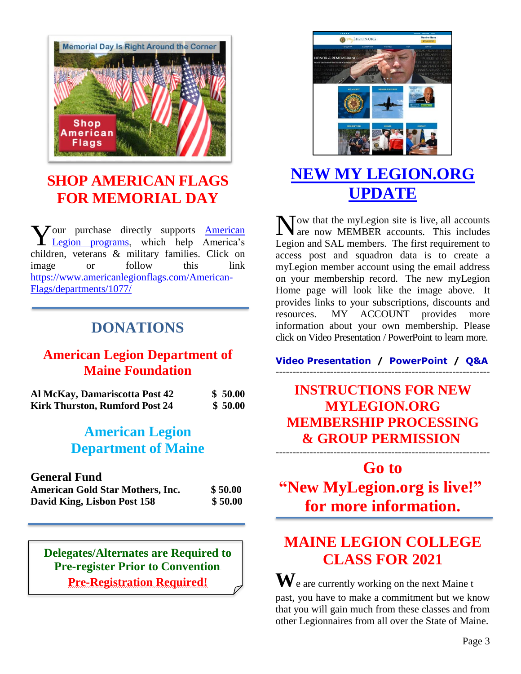

# **[SHOP AMERICAN FLAGS](https://www.americanlegionflags.com/American-Flags/departments/1077/) FOR MEMORIAL DAY**

our purchase directly supports **American** [Legion programs,](https://www.legion.org/programs) which help America's children, veterans & military families. Click on image or follow this link [https://www.americanlegionflags.com/American-](https://www.americanlegionflags.com/American-Flags/departments/1077/)[Flags/departments/1077/](https://www.americanlegionflags.com/American-Flags/departments/1077/) Vour purchase directly supports American N<br>Legion programs, which help America's Legion

## **DONATIONS**

#### **American Legion Department of Maine Foundation**

| Al McKay, Damariscotta Post 42        | \$50.00 |
|---------------------------------------|---------|
| <b>Kirk Thurston, Rumford Post 24</b> | \$50.00 |

## **American Legion Department of Maine**

#### **General Fund**

| <b>American Gold Star Mothers, Inc.</b> | \$50.00 |
|-----------------------------------------|---------|
| David King, Lisbon Post 158             | \$50.00 |

**Delegates/Alternates are Required to Pre-register Prior to Convention Pre-Registration Required!**



# **[NEW MY LEGION.ORG](https://vimeo.com/518232870)  [UPDATE](https://vimeo.com/518232870)**

Tow that the myLegion site is live, all accounts are now MEMBER accounts. This includes Legion and SAL members. The first requirement to access post and squadron data is to create a myLegion member account using the email address on your membership record. The new myLegion Home page will look like the image above. It provides links to your subscriptions, discounts and resources. MY ACCOUNT provides more information about your own membership. Please click on Video Presentation / PowerPoint to learn more.

**[Video Presentation](https://vimeo.com/518232870) / [PowerPoint](https://www.legion.org/documents/training/training-tuesdays/PPT_MyLegion_Update_Membership_Processing.pptx) / [Q&A](https://www.legion.org/training/251904/training-tuesday-mylegion-update-membership-processing-qa)** ---------------------------------------------------------------

# **[INSTRUCTIONS](http://www.mainelegion.org/media/Membership/new_membership_program_instructions1.pdf) FOR NEW [MYLEGION.ORG](http://www.mainelegion.org/media/Membership/new_membership_program_instructions1.pdf) [MEMBERSHIP](http://www.mainelegion.org/media/Membership/new_membership_program_instructions1.pdf) PROCESSING & GROUP [PERMISSION](http://www.mainelegion.org/media/Membership/new_membership_program_instructions1.pdf)**

---------------------------------------------------------------

**Go to ["New MyLegion.org is live!"](https://www.legion.org/membership/252152/new-mylegionorg-live) for more information.**

# **MAINE LEGION COLLEGE CLASS FOR 2021**

**W**e are currently working on the next Maine t past, you have to make a commitment but we know that you will gain much from these classes and from other Legionnaires from all over the State of Maine.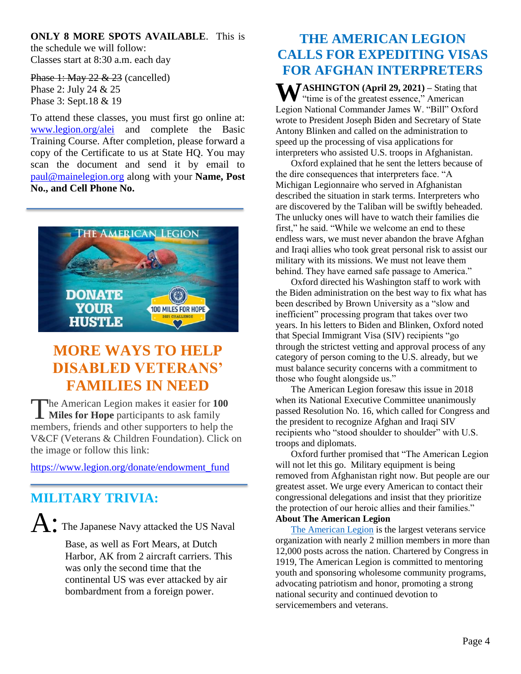#### **ONLY 8 MORE SPOTS AVAILABLE**. This is

the schedule we will follow: Classes start at 8:30 a.m. each day

Phase 1: May 22 & 23 (cancelled) Phase 2: July 24 & 25 Phase 3: Sept.18 & 19

To attend these classes, you must first go online at: [www.legion.org/alei](http://www.legion.org/alei) and complete the Basic Training Course. After completion, please forward a copy of the Certificate to us at State HQ. You may scan the document and send it by email to [paul@mainelegion.org](mailto:paul@mainelegion.org) along with your **Name, Post No., and Cell Phone No.** 



# **MORE WAYS TO HELP DISABLED VETERANS' FAMILIES IN NEED**

he American Legion makes it easier for **100**  The American Legion makes it easier for 10<br>Miles for Hope participants to ask family members, friends and other supporters to help the V&CF (Veterans & Children Foundation). Click on the image or follow this link:

[https://www.legion.org/donate/endowment\\_fund](https://www.legion.org/donate/endowment_fund)

## **MILITARY TRIVIA:**

A: The Japanese Navy attacked the US Naval

Base, as well as Fort Mears, at Dutch Harbor, AK from 2 aircraft carriers. This was only the second time that the continental US was ever attacked by air bombardment from a foreign power.

## **THE AMERICAN LEGION CALLS FOR EXPEDITING VISAS FOR AFGHAN INTERPRETERS**

**W** ASHINGTON (April 29, 2021) – Stating that "time is of the greatest essence," American "time is of the greatest essence," American Legion National Commander James W. "Bill" Oxford wrote to President Joseph Biden and Secretary of State Antony Blinken and called on the administration to speed up the processing of visa applications for interpreters who assisted U.S. troops in Afghanistan.

Oxford explained that he sent the letters because of the dire consequences that interpreters face. "A Michigan Legionnaire who served in Afghanistan described the situation in stark terms. Interpreters who are discovered by the Taliban will be swiftly beheaded. The unlucky ones will have to watch their families die first," he said. "While we welcome an end to these endless wars, we must never abandon the brave Afghan and Iraqi allies who took great personal risk to assist our military with its missions. We must not leave them behind. They have earned safe passage to America."

Oxford directed his Washington staff to work with the Biden administration on the best way to fix what has been described by Brown University as a "slow and inefficient" processing program that takes over two years. In his letters to Biden and Blinken, Oxford noted that Special Immigrant Visa (SIV) recipients "go through the strictest vetting and approval process of any category of person coming to the U.S. already, but we must balance security concerns with a commitment to those who fought alongside us."

The American Legion foresaw this issue in 2018 when its National Executive Committee unanimously passed Resolution No. 16, which called for Congress and the president to recognize Afghan and Iraqi SIV recipients who "stood shoulder to shoulder" with U.S. troops and diplomats.

Oxford further promised that "The American Legion will not let this go. Military equipment is being removed from Afghanistan right now. But people are our greatest asset. We urge every American to contact their congressional delegations and insist that they prioritize the protection of our heroic allies and their families." **About The American Legion**

[The American Legion](https://www.legion.org/) is the largest veterans service organization with nearly 2 million members in more than 12,000 posts across the nation. Chartered by Congress in 1919, The American Legion is committed to mentoring youth and sponsoring wholesome community programs, advocating patriotism and honor, promoting a strong national security and continued devotion to servicemembers and veterans.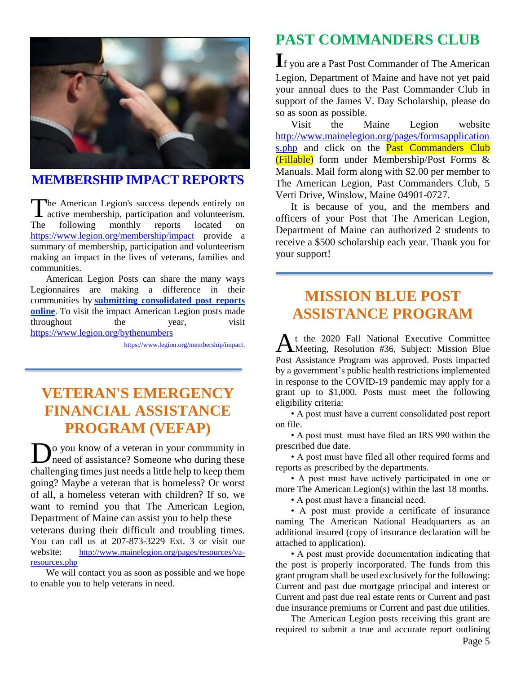

#### **[MEMBERSHIP IMPACT REPORTS](https://www.legion.org/membership/impact)**

he American Legion's success depends entirely on active membership, participation and volunteerism. following monthly reports located on <https://www.legion.org/membership/impact> provide a summary of membership, participation and volunteerism making an impact in the lives of veterans, families and communities. **The** 

American Legion Posts can share the many ways Legionnaires are making a difference in their communities by **[submitting consolidated post reports](http://www.mylegion.org/)  [online](http://www.mylegion.org/)**. To visit the impact American Legion posts made throughout the year, visit <https://www.legion.org/bythenumbers>

[https://www.legion.org/membership/impact.](https://www.legion.org/membership/impact)

# **VETERAN'S EMERGENCY FINANCIAL ASSISTANCE PROGRAM (VEFAP)**

o you know of a veteran in your community in **D**<sup>o</sup> you know of a veteran in your community in need of assistance? Someone who during these challenging times just needs a little help to keep them going? Maybe a veteran that is homeless? Or worst of all, a homeless veteran with children? If so, we want to remind you that The American Legion, Department of Maine can assist you to help these

veterans during their difficult and troubling times. You can call us at 207-873-3229 Ext. 3 or visit our website: http://www.mainelegion.org/pages/resources/varesources.php

We will contact you as soon as possible and we hope to enable you to help veterans in need.

# **PAST COMMANDERS CLUB**

**I**f you are a Past Post Commander of The American Legion, Department of Maine and have not yet paid your annual dues to the Past Commander Club in support of the James V. Day Scholarship, please do so as soon as possible.

Visit the Maine Legion website [http://www.mainelegion.org/pages/formsapplication](http://www.mainelegion.org/pages/formsapplications.php) [s.php](http://www.mainelegion.org/pages/formsapplications.php) and click on the **Past Commanders Club** (Fillable) form under Membership/Post Forms & Manuals. Mail form along with \$2.00 per member to The American Legion, Past Commanders Club, 5 Verti Drive, Winslow, Maine 04901-0727.

It is because of you, and the members and officers of your Post that The American Legion, Department of Maine can authorized 2 students to receive a \$500 scholarship each year. Thank you for your support!

# **MISSION BLUE POST ASSISTANCE PROGRAM**

t the 2020 Fall National Executive Committee At the 2020 Fall National Executive Committee<br>Meeting, Resolution #36, Subject: Mission Blue Post Assistance Program was approved. Posts impacted by a government's public health restrictions implemented in response to the COVID-19 pandemic may apply for a grant up to \$1,000. Posts must meet the following eligibility criteria:

• A post must have a current consolidated post report on file.

• A post must must have filed an IRS 990 within the prescribed due date.

• A post must have filed all other required forms and reports as prescribed by the departments.

• A post must have actively participated in one or more The American Legion(s) within the last 18 months.

• A post must have a financial need.

• A post must provide a certificate of insurance naming The American National Headquarters as an additional insured (copy of insurance declaration will be attached to application).

• A post must provide documentation indicating that the post is properly incorporated. The funds from this grant program shall be used exclusively for the following: Current and past due mortgage principal and interest or Current and past due real estate rents or Current and past due insurance premiums or Current and past due utilities.

The American Legion posts receiving this grant are required to submit a true and accurate report outlining